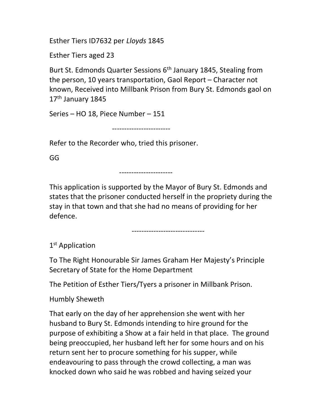Esther Tiers ID7632 per Lloyds 1845

Esther Tiers aged 23

Burt St. Edmonds Quarter Sessions 6th January 1845, Stealing from the person, 10 years transportation, Gaol Report – Character not known, Received into Millbank Prison from Bury St. Edmonds gaol on 17<sup>th</sup> January 1845

Series – HO 18, Piece Number – 151

------------------------

Refer to the Recorder who, tried this prisoner.

GG

----------------------

This application is supported by the Mayor of Bury St. Edmonds and states that the prisoner conducted herself in the propriety during the stay in that town and that she had no means of providing for her defence.

------------------------------

1<sup>st</sup> Application

To The Right Honourable Sir James Graham Her Majesty's Principle Secretary of State for the Home Department

The Petition of Esther Tiers/Tyers a prisoner in Millbank Prison.

Humbly Sheweth

That early on the day of her apprehension she went with her husband to Bury St. Edmonds intending to hire ground for the purpose of exhibiting a Show at a fair held in that place. The ground being preoccupied, her husband left her for some hours and on his return sent her to procure something for his supper, while endeavouring to pass through the crowd collecting, a man was knocked down who said he was robbed and having seized your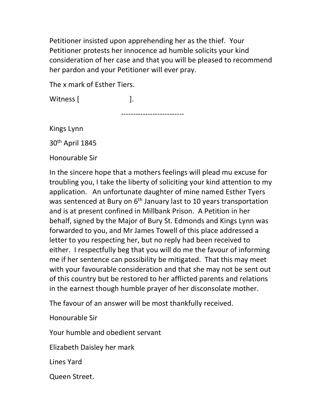Petitioner insisted upon apprehending her as the thief. Your Petitioner protests her innocence ad humble solicits your kind consideration of her case and that you will be pleased to recommend her pardon and your Petitioner will ever pray.

The x mark of Esther Tiers.

Witness [  $\qquad$  ].

--------------------------

Kings Lynn

30th April 1845

Honourable Sir

In the sincere hope that a mothers feelings will plead mu excuse for troubling you, I take the liberty of soliciting your kind attention to my application. An unfortunate daughter of mine named Esther Tyers was sentenced at Bury on 6<sup>th</sup> January last to 10 years transportation and is at present confined in Millbank Prison. A Petition in her behalf, signed by the Major of Bury St. Edmonds and Kings Lynn was forwarded to you, and Mr James Towell of this place addressed a letter to you respecting her, but no reply had been received to either. I respectfully beg that you will do me the favour of informing me if her sentence can possibility be mitigated. That this may meet with your favourable consideration and that she may not be sent out of this country but be restored to her afflicted parents and relations in the earnest though humble prayer of her disconsolate mother.

The favour of an answer will be most thankfully received.

Honourable Sir

Your humble and obedient servant

Elizabeth Daisley her mark

Lines Yard

Queen Street.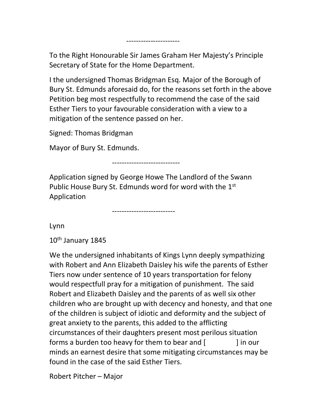I the undersigned Thomas Bridgman Esq. Major of the Borough of Bury St. Edmunds aforesaid do, for the reasons set forth in the above Petition beg most respectfully to recommend the case of the said Esther Tiers to your favourable consideration with a view to a mitigation of the sentence passed on her.

Signed: Thomas Bridgman

Mayor of Bury St. Edmunds.

----------------------

----------------------------

Application signed by George Howe The Landlord of the Swann Public House Bury St. Edmunds word for word with the 1<sup>st</sup> Application

--------------------------

Lynn

 $10<sup>th</sup>$  January 1845

We the undersigned inhabitants of Kings Lynn deeply sympathizing with Robert and Ann Elizabeth Daisley his wife the parents of Esther Tiers now under sentence of 10 years transportation for felony would respectfull pray for a mitigation of punishment. The said Robert and Elizabeth Daisley and the parents of as well six other children who are brought up with decency and honesty, and that one of the children is subject of idiotic and deformity and the subject of great anxiety to the parents, this added to the afflicting circumstances of their daughters present most perilous situation forms a burden too heavy for them to bear and [ ] in our minds an earnest desire that some mitigating circumstances may be found in the case of the said Esther Tiers.

Robert Pitcher – Major